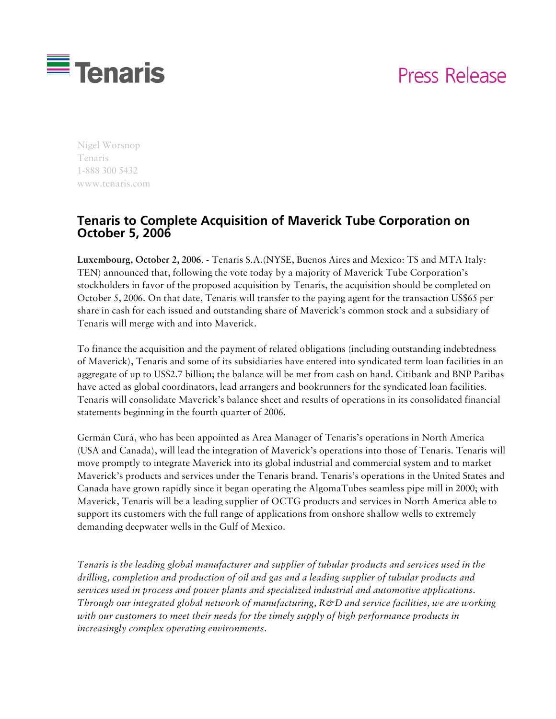## Press Release



Nigel Worsnop Tenaris 1-888 300 5432 www.tenaris.com

## **Tenaris to Complete Acquisition of Maverick Tube Corporation on October 5, 2006**

**Luxembourg, October 2, 2006**. - Tenaris S.A.(NYSE, Buenos Aires and Mexico: TS and MTA Italy: TEN) announced that, following the vote today by a majority of Maverick Tube Corporation's stockholders in favor of the proposed acquisition by Tenaris, the acquisition should be completed on October 5, 2006. On that date, Tenaris will transfer to the paying agent for the transaction US\$65 per share in cash for each issued and outstanding share of Maverick's common stock and a subsidiary of Tenaris will merge with and into Maverick.

To finance the acquisition and the payment of related obligations (including outstanding indebtedness of Maverick), Tenaris and some of its subsidiaries have entered into syndicated term loan facilities in an aggregate of up to US\$2.7 billion; the balance will be met from cash on hand. Citibank and BNP Paribas have acted as global coordinators, lead arrangers and bookrunners for the syndicated loan facilities. Tenaris will consolidate Maverick's balance sheet and results of operations in its consolidated financial statements beginning in the fourth quarter of 2006.

Germán Curá, who has been appointed as Area Manager of Tenaris's operations in North America (USA and Canada), will lead the integration of Maverick's operations into those of Tenaris. Tenaris will move promptly to integrate Maverick into its global industrial and commercial system and to market Maverick's products and services under the Tenaris brand. Tenaris's operations in the United States and Canada have grown rapidly since it began operating the AlgomaTubes seamless pipe mill in 2000; with Maverick, Tenaris will be a leading supplier of OCTG products and services in North America able to support its customers with the full range of applications from onshore shallow wells to extremely demanding deepwater wells in the Gulf of Mexico.

*Tenaris is the leading global manufacturer and supplier of tubular products and services used in the drilling, completion and production of oil and gas and a leading supplier of tubular products and services used in process and power plants and specialized industrial and automotive applications. Through our integrated global network of manufacturing, R&D and service facilities, we are working with our customers to meet their needs for the timely supply of high performance products in increasingly complex operating environments.*